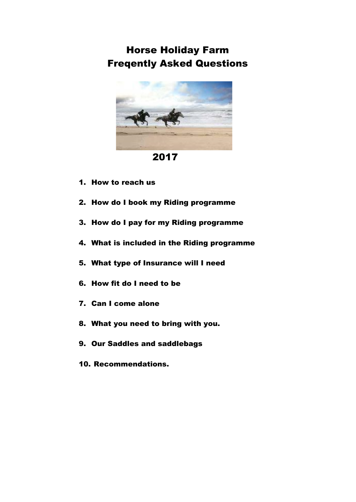Horse Holiday Farm Freqently Asked Questions



2017

- 1. How to reach us
- 2. How do I book my Riding programme
- 3. How do I pay for my Riding programme
- 4. What is included in the Riding programme
- 5. What type of Insurance will I need
- 6. How fit do I need to be
- 7. Can I come alone
- 8. What you need to bring with you.
- 9. Our Saddles and saddlebags
- 10. Recommendations.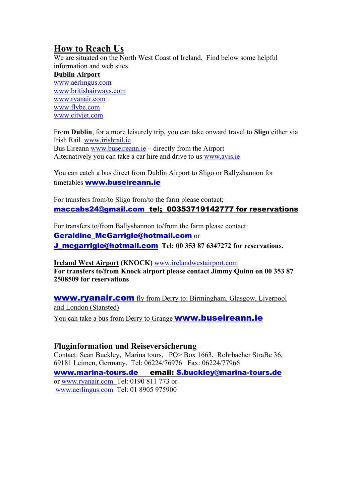## **How to Reach Us**

We are situated on the North West Coast of Ireland. Find below some helpful information and web sites.

#### **Dublin Airport**

[www.aerlingus.com](http://www.aerlingus.com/) [www.britishairways.com](http://www.britishairways.com/) [www.ryanair.com](http://www.ryanair.com/) [www.flybe.com](http://www.flybe.com/) [www.cityjet.com](http://www.cityjet.com/)

From **Dublin**, for a more leisurely trip, you can take onward travel to **Sligo** either via Irish Rail [www.irishrail.ie](http://www.irishrail.ie/) Bus Eireann [www.buseireann.ie](http://www.buseireann.ie/) – directly from the Airport Alternatively you can take a car hire and drive to us [www.avis.ie](http://www.avis.ie/)

You can catch a bus direct from Dublin Airport to Sligo or Ballyshannon for timetables [www.buseireann.ie](http://www.buseireann.ie/)

For transfers from/to Sligo from/to the farm please contact; maccabs24@gmail.com tel; 00353719142777 for reservations

For transfers to/from Ballyshannon to/from the farm please contact: Geraldine\_McGarrigle@hotmail.com or J\_mcgarrigle@hotmail.com **Tel: 00 353 87 6347272 for reservations.**

**Ireland West Airport (KNOCK)** [www.irelandwestairport.com](http://www.irelandwestairport.com/) **For transfers to/from Knock airport please contact Jimmy Quinn on 00 353 87 2508509 for reservations**

[www.ryanair.com](http://www.ryanair.com/) fly from Derry to: Birmingham, Glasgow, Liverpool and London (Stansted)

You can take a bus from Derry to Grange **[www.buseireann.ie](http://www.buseireann.ie/)** 

#### **Fluginformation und Reiseversicherung** –

Contact: Sean Buckley, Marina tours, PO> Box 1663, Rohrbacher StraBe 36, 69181 Leimen, Germany. Tel: 06224/76976 Fax: 06224/77966 [www.marina-tours.de](http://www.marina-tours.de/) email: S.buckley@marina-tours.de or [www.ryanair.com](http://www.ryanair.com/) Tel: 0190 811 773 or [www.aerlingus.com](http://www.aerlingus.com/) Tel: 01 8905 975900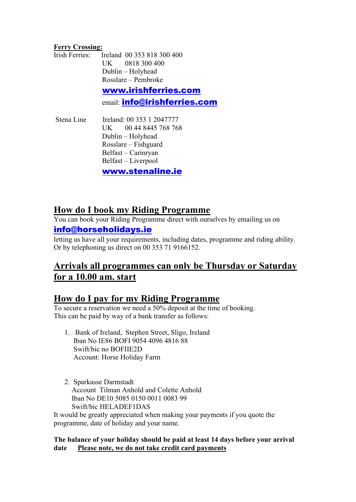#### **Ferry Crossing:**

|  | email: info@irishferries.com              |
|--|-------------------------------------------|
|  | www.irishferries.com                      |
|  | Rosslare – Pembroke                       |
|  | Dublin - Holyhead                         |
|  | UK 0818 300 400                           |
|  | Irish Ferries: Ireland 00 353 818 300 400 |

Stena Line Ireland: 00 353 1 2047777 UK 00 44 8445 768 768 Dublin – Holyhead Rosslare – Fishguard Belfast – Carinryan Belfast – Liverpool

[www.stenaline.ie](http://www.stenaline.ie/)

#### **How do I book my Riding Programme**

You can book your Riding Programme direct with ourselves by emailing us on

#### info@horseholidays.ie

letting us have all your requirements, including dates, programme and riding ability. Or by telephoning us direct on 00 353 71 9166152.

### **Arrivals all programmes can only be Thursday or Saturday for a 10.00 am. start**

### **How do I pay for my Riding Programme**

To secure a reservation we need a 50% deposit at the time of booking. This can be paid by way of a bank transfer as follows:

- 1. Bank of Ireland, Stephen Street, Sligo, Ireland Iban No IE86 BOFI 9054 4096 4816 88 Swift/bic no BOFIIE2D Account: Horse Holiday Farm
- 2. Sparkasse Darmstadt Account Tilman Anhold and Colette Anhold Iban No DE10 5085 0150 0011 0083 99 Swift/bic HELADEF1DAS

It would be greatly appreciated when making your payments if you quote the programme, date of holiday and your name.

#### **The balance of your holiday should be paid at least 14 days before your arrival date Please note, we do not take credit card payments**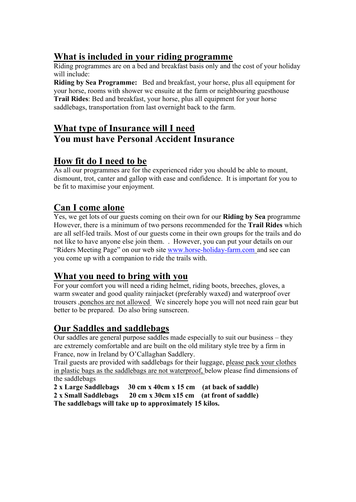## **What is included in your riding programme**

Riding programmes are on a bed and breakfast basis only and the cost of your holiday will include:

**Riding by Sea Programme:** Bed and breakfast, your horse, plus all equipment for your horse, rooms with shower wc ensuite at the farm or neighbouring guesthouse **Trail Rides**: Bed and breakfast, your horse, plus all equipment for your horse saddlebags, transportation from last overnight back to the farm.

### **What type of Insurance will I need You must have Personal Accident Insurance**

### **How fit do I need to be**

As all our programmes are for the experienced rider you should be able to mount, dismount, trot, canter and gallop with ease and confidence. It is important for you to be fit to maximise your enjoyment.

### **Can I come alone**

Yes, we get lots of our guests coming on their own for our **Riding by Sea** programme However, there is a minimum of two persons recommended for the **Trail Rides** which are all self-led trails. Most of our guests come in their own groups for the trails and do not like to have anyone else join them. . However, you can put your details on our "Riders Meeting Page" on our web site [www.horse-holiday-farm.com](http://www.horse-holiday-farm.com/) and see can you come up with a companion to ride the trails with.

### **What you need to bring with you**

For your comfort you will need a riding helmet, riding boots, breeches, gloves, a warm sweater and good quality rainjacket (preferably waxed) and waterproof over trousers ,ponchos are not allowed We sincerely hope you will not need rain gear but better to be prepared. Do also bring sunscreen.

## **Our Saddles and saddlebags**

Our saddles are general purpose saddles made especially to suit our business – they are extremely comfortable and are built on the old military style tree by a firm in France, now in Ireland by O'Callaghan Saddlery.

Trail guests are provided with saddlebags for their luggage, please pack your clothes in plastic bags as the saddlebags are not waterproof, below please find dimensions of the saddlebags

**2 x Large Saddlebags 30 cm x 40cm x 15 cm (at back of saddle) 2 x Small Saddlebags 20 cm x 30cm x15 cm (at front of saddle) The saddlebags will take up to approximately 15 kilos.**